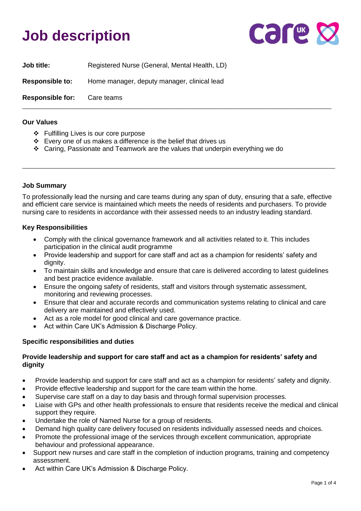## **Job description**



| <b>Responsible for:</b> | Care teams                                    |
|-------------------------|-----------------------------------------------|
| <b>Responsible to:</b>  | Home manager, deputy manager, clinical lead   |
| <b>Job title:</b>       | Registered Nurse (General, Mental Health, LD) |

#### **Our Values**

- ❖ Fulfilling Lives is our core purpose
- ❖ Every one of us makes a difference is the belief that drives us
- ❖ Caring, Passionate and Teamwork are the values that underpin everything we do

#### **Job Summary**

To professionally lead the nursing and care teams during any span of duty, ensuring that a safe, effective and efficient care service is maintained which meets the needs of residents and purchasers. To provide nursing care to residents in accordance with their assessed needs to an industry leading standard.

\_\_\_\_\_\_\_\_\_\_\_\_\_\_\_\_\_\_\_\_\_\_\_\_\_\_\_\_\_\_\_\_\_\_\_\_\_\_\_\_\_\_\_\_\_\_\_\_\_\_\_\_\_\_\_\_\_\_\_\_\_\_\_\_\_\_\_\_\_\_\_\_\_\_\_\_\_\_\_\_\_\_\_\_\_\_

#### **Key Responsibilities**

- Comply with the clinical governance framework and all activities related to it. This includes participation in the clinical audit programme
- Provide leadership and support for care staff and act as a champion for residents' safety and dianity.
- To maintain skills and knowledge and ensure that care is delivered according to latest guidelines and best practice evidence available.
- Ensure the ongoing safety of residents, staff and visitors through systematic assessment, monitoring and reviewing processes.
- Ensure that clear and accurate records and communication systems relating to clinical and care delivery are maintained and effectively used.
- Act as a role model for good clinical and care governance practice.
- Act within Care UK's Admission & Discharge Policy.

#### **Specific responsibilities and duties**

#### **Provide leadership and support for care staff and act as a champion for residents' safety and dignity**

- Provide leadership and support for care staff and act as a champion for residents' safety and dignity.
- Provide effective leadership and support for the care team within the home.
- Supervise care staff on a day to day basis and through formal supervision processes.
- Liaise with GPs and other health professionals to ensure that residents receive the medical and clinical support they require.
- Undertake the role of Named Nurse for a group of residents.
- Demand high quality care delivery focused on residents individually assessed needs and choices.
- Promote the professional image of the services through excellent communication, appropriate behaviour and professional appearance.
- Support new nurses and care staff in the completion of induction programs, training and competency assessment.
- Act within Care UK's Admission & Discharge Policy.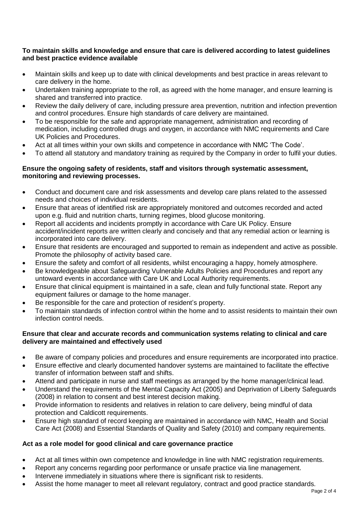#### **To maintain skills and knowledge and ensure that care is delivered according to latest guidelines and best practice evidence available**

- Maintain skills and keep up to date with clinical developments and best practice in areas relevant to care delivery in the home.
- Undertaken training appropriate to the roll, as agreed with the home manager, and ensure learning is shared and transferred into practice.
- Review the daily delivery of care, including pressure area prevention, nutrition and infection prevention and control procedures. Ensure high standards of care delivery are maintained.
- To be responsible for the safe and appropriate management, administration and recording of medication, including controlled drugs and oxygen, in accordance with NMC requirements and Care UK Policies and Procedures.
- Act at all times within your own skills and competence in accordance with NMC 'The Code'.
- To attend all statutory and mandatory training as required by the Company in order to fulfil your duties.

#### **Ensure the ongoing safety of residents, staff and visitors through systematic assessment, monitoring and reviewing processes.**

- Conduct and document care and risk assessments and develop care plans related to the assessed needs and choices of individual residents.
- Ensure that areas of identified risk are appropriately monitored and outcomes recorded and acted upon e.g. fluid and nutrition charts, turning regimes, blood glucose monitoring.
- Report all accidents and incidents promptly in accordance with Care UK Policy. Ensure accident/incident reports are written clearly and concisely and that any remedial action or learning is incorporated into care delivery.
- Ensure that residents are encouraged and supported to remain as independent and active as possible. Promote the philosophy of activity based care.
- Ensure the safety and comfort of all residents, whilst encouraging a happy, homely atmosphere.
- Be knowledgeable about Safeguarding Vulnerable Adults Policies and Procedures and report any untoward events in accordance with Care UK and Local Authority requirements.
- Ensure that clinical equipment is maintained in a safe, clean and fully functional state. Report any equipment failures or damage to the home manager.
- Be responsible for the care and protection of resident's property.
- To maintain standards of infection control within the home and to assist residents to maintain their own infection control needs.

## **Ensure that clear and accurate records and communication systems relating to clinical and care delivery are maintained and effectively used**

- Be aware of company policies and procedures and ensure requirements are incorporated into practice.
- Ensure effective and clearly documented handover systems are maintained to facilitate the effective transfer of information between staff and shifts.
- Attend and participate in nurse and staff meetings as arranged by the home manager/clinical lead.
- Understand the requirements of the Mental Capacity Act (2005) and Deprivation of Liberty Safeguards (2008) in relation to consent and best interest decision making.
- Provide information to residents and relatives in relation to care delivery, being mindful of data protection and Caldicott requirements.
- Ensure high standard of record keeping are maintained in accordance with NMC, Health and Social Care Act (2008) and Essential Standards of Quality and Safety (2010) and company requirements.

## **Act as a role model for good clinical and care governance practice**

- Act at all times within own competence and knowledge in line with NMC registration requirements.
- Report any concerns regarding poor performance or unsafe practice via line management.
- Intervene immediately in situations where there is significant risk to residents.
- Assist the home manager to meet all relevant regulatory, contract and good practice standards.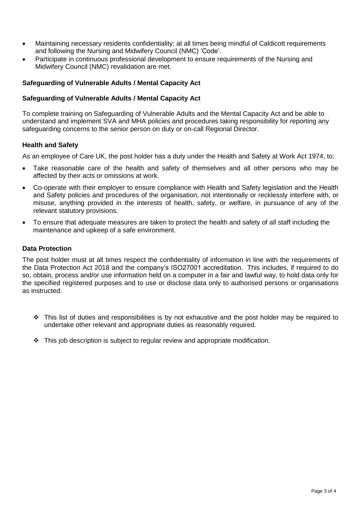- Maintaining necessary residents confidentiality; at all times being mindful of Caldicott requirements and following the Nursing and Midwifery Council (NMC) 'Code'.
- Participate in continuous professional development to ensure requirements of the Nursing and Midwifery Council (NMC) revalidation are met.

## **Safeguarding of Vulnerable Adults / Mental Capacity Act**

#### **Safeguarding of Vulnerable Adults / Mental Capacity Act**

To complete training on Safeguarding of Vulnerable Adults and the Mental Capacity Act and be able to understand and implement SVA and MHA policies and procedures taking responsibility for reporting any safeguarding concerns to the senior person on duty or on-call Regional Director.

#### **Health and Safety**

As an employee of Care UK, the post holder has a duty under the Health and Safety at Work Act 1974, to:

- Take reasonable care of the health and safety of themselves and all other persons who may be affected by their acts or omissions at work.
- Co-operate with their employer to ensure compliance with Health and Safety legislation and the Health and Safety policies and procedures of the organisation, not intentionally or recklessly interfere with, or misuse, anything provided in the interests of health, safety, or welfare, in pursuance of any of the relevant statutory provisions.
- To ensure that adequate measures are taken to protect the health and safety of all staff including the maintenance and upkeep of a safe environment.

#### **Data Protection**

The post holder must at all times respect the confidentiality of information in line with the requirements of the Data Protection Act 2018 and the company's ISO27001 accreditation. This includes, if required to do so, obtain, process and/or use information held on a computer in a fair and lawful way, to hold data only for the specified registered purposes and to use or disclose data only to authorised persons or organisations as instructed.

- ❖ This list of duties and responsibilities is by not exhaustive and the post holder may be required to undertake other relevant and appropriate duties as reasonably required.
- $\div$  This job description is subject to regular review and appropriate modification.